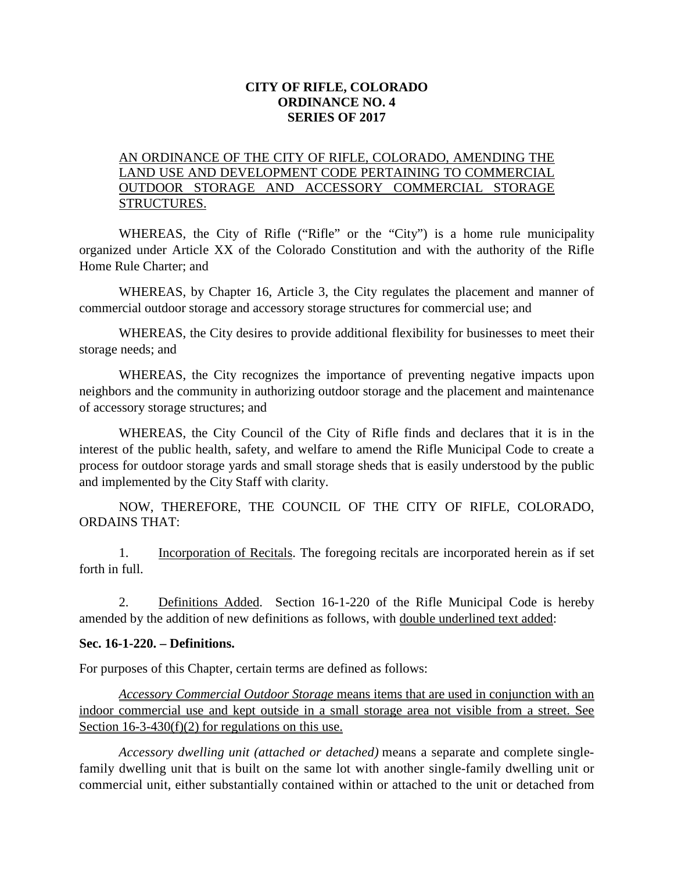## **CITY OF RIFLE, COLORADO ORDINANCE NO. 4 SERIES OF 2017**

## AN ORDINANCE OF THE CITY OF RIFLE, COLORADO, AMENDING THE LAND USE AND DEVELOPMENT CODE PERTAINING TO COMMERCIAL OUTDOOR STORAGE AND ACCESSORY COMMERCIAL STORAGE STRUCTURES.

WHEREAS, the City of Rifle ("Rifle" or the "City") is a home rule municipality organized under Article XX of the Colorado Constitution and with the authority of the Rifle Home Rule Charter; and

WHEREAS, by Chapter 16, Article 3, the City regulates the placement and manner of commercial outdoor storage and accessory storage structures for commercial use; and

WHEREAS, the City desires to provide additional flexibility for businesses to meet their storage needs; and

WHEREAS, the City recognizes the importance of preventing negative impacts upon neighbors and the community in authorizing outdoor storage and the placement and maintenance of accessory storage structures; and

WHEREAS, the City Council of the City of Rifle finds and declares that it is in the interest of the public health, safety, and welfare to amend the Rifle Municipal Code to create a process for outdoor storage yards and small storage sheds that is easily understood by the public and implemented by the City Staff with clarity.

NOW, THEREFORE, THE COUNCIL OF THE CITY OF RIFLE, COLORADO, ORDAINS THAT:

1. Incorporation of Recitals. The foregoing recitals are incorporated herein as if set forth in full.

2. Definitions Added. Section 16-1-220 of the Rifle Municipal Code is hereby amended by the addition of new definitions as follows, with double underlined text added:

#### **Sec. 16-1-220. – Definitions.**

For purposes of this Chapter, certain terms are defined as follows:

*Accessory Commercial Outdoor Storage* means items that are used in conjunction with an indoor commercial use and kept outside in a small storage area not visible from a street. See Section  $16-3-430(f)(2)$  for regulations on this use.

*Accessory dwelling unit (attached or detached)* means a separate and complete singlefamily dwelling unit that is built on the same lot with another single-family dwelling unit or commercial unit, either substantially contained within or attached to the unit or detached from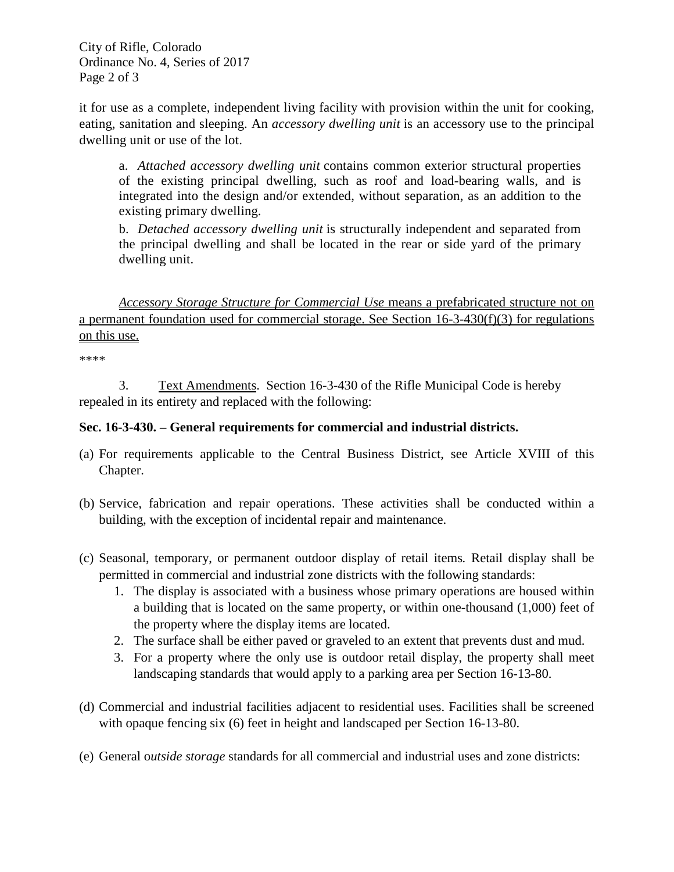City of Rifle, Colorado Ordinance No. 4, Series of 2017 Page 2 of 3

it for use as a complete, independent living facility with provision within the unit for cooking, eating, sanitation and sleeping. An *accessory dwelling unit* is an accessory use to the principal dwelling unit or use of the lot.

a. *Attached accessory dwelling unit* contains common exterior structural properties of the existing principal dwelling, such as roof and load-bearing walls, and is integrated into the design and/or extended, without separation, as an addition to the existing primary dwelling.

b. *Detached accessory dwelling unit* is structurally independent and separated from the principal dwelling and shall be located in the rear or side yard of the primary dwelling unit.

*Accessory Storage Structure for Commercial Use* means a prefabricated structure not on a permanent foundation used for commercial storage. See Section 16-3-430(f)(3) for regulations on this use.

\*\*\*\*

3. Text Amendments. Section 16-3-430 of the Rifle Municipal Code is hereby repealed in its entirety and replaced with the following:

## **Sec. 16-3-430. – General requirements for commercial and industrial districts.**

- (a) For requirements applicable to the Central Business District, see Article XVIII of this Chapter.
- (b) Service, fabrication and repair operations. These activities shall be conducted within a building, with the exception of incidental repair and maintenance.
- (c) Seasonal, temporary, or permanent outdoor display of retail items*.* Retail display shall be permitted in commercial and industrial zone districts with the following standards:
	- 1. The display is associated with a business whose primary operations are housed within a building that is located on the same property, or within one-thousand (1,000) feet of the property where the display items are located.
	- 2. The surface shall be either paved or graveled to an extent that prevents dust and mud.
	- 3. For a property where the only use is outdoor retail display, the property shall meet landscaping standards that would apply to a parking area per Section 16-13-80.
- (d) Commercial and industrial facilities adjacent to residential uses. Facilities shall be screened with opaque fencing six (6) feet in height and landscaped per Section 16-13-80.
- (e) General o*utside storage* standards for all commercial and industrial uses and zone districts: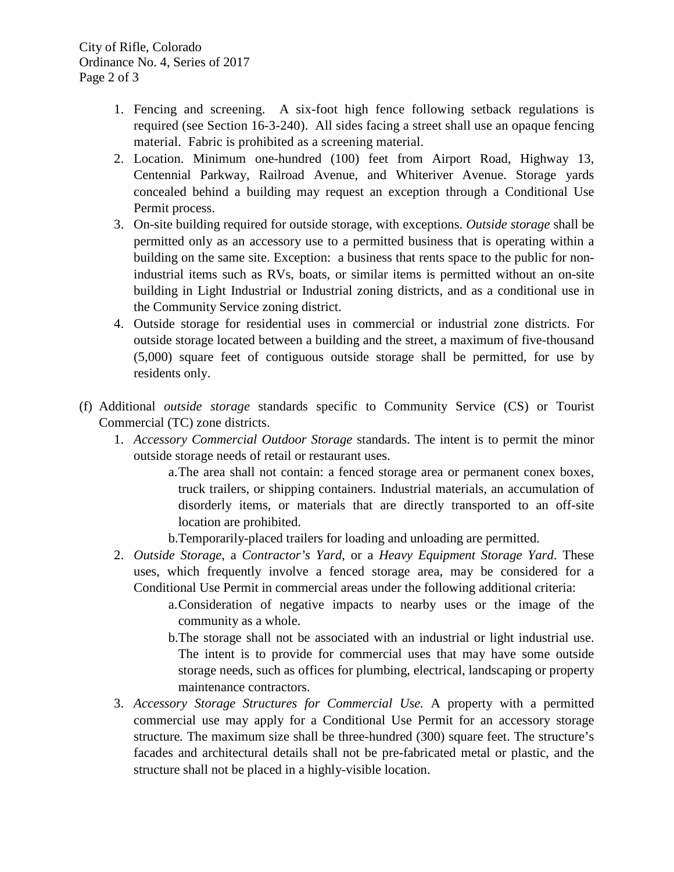- 1. Fencing and screening. A six-foot high fence following setback regulations is required (see Section 16-3-240). All sides facing a street shall use an opaque fencing material. Fabric is prohibited as a screening material.
- 2. Location. Minimum one-hundred (100) feet from Airport Road, Highway 13, Centennial Parkway, Railroad Avenue, and Whiteriver Avenue. Storage yards concealed behind a building may request an exception through a Conditional Use Permit process.
- 3. On-site building required for outside storage, with exceptions. *Outside storage* shall be permitted only as an accessory use to a permitted business that is operating within a building on the same site. Exception: a business that rents space to the public for nonindustrial items such as RVs, boats, or similar items is permitted without an on-site building in Light Industrial or Industrial zoning districts, and as a conditional use in the Community Service zoning district.
- 4. Outside storage for residential uses in commercial or industrial zone districts. For outside storage located between a building and the street, a maximum of five-thousand (5,000) square feet of contiguous outside storage shall be permitted, for use by residents only.
- (f) Additional *outside storage* standards specific to Community Service (CS) or Tourist Commercial (TC) zone districts.
	- 1. *Accessory Commercial Outdoor Storage* standards. The intent is to permit the minor outside storage needs of retail or restaurant uses.
		- a.The area shall not contain: a fenced storage area or permanent conex boxes, truck trailers, or shipping containers. Industrial materials, an accumulation of disorderly items, or materials that are directly transported to an off-site location are prohibited.
		- b.Temporarily-placed trailers for loading and unloading are permitted.
	- 2. *Outside Storage*, a *Contractor's Yard*, or a *Heavy Equipment Storage Yard*. These uses, which frequently involve a fenced storage area, may be considered for a Conditional Use Permit in commercial areas under the following additional criteria:
		- a.Consideration of negative impacts to nearby uses or the image of the community as a whole.
		- b.The storage shall not be associated with an industrial or light industrial use. The intent is to provide for commercial uses that may have some outside storage needs, such as offices for plumbing, electrical, landscaping or property maintenance contractors.
	- 3. *Accessory Storage Structures for Commercial Use.* A property with a permitted commercial use may apply for a Conditional Use Permit for an accessory storage structure*.* The maximum size shall be three-hundred (300) square feet. The structure's facades and architectural details shall not be pre-fabricated metal or plastic, and the structure shall not be placed in a highly-visible location.